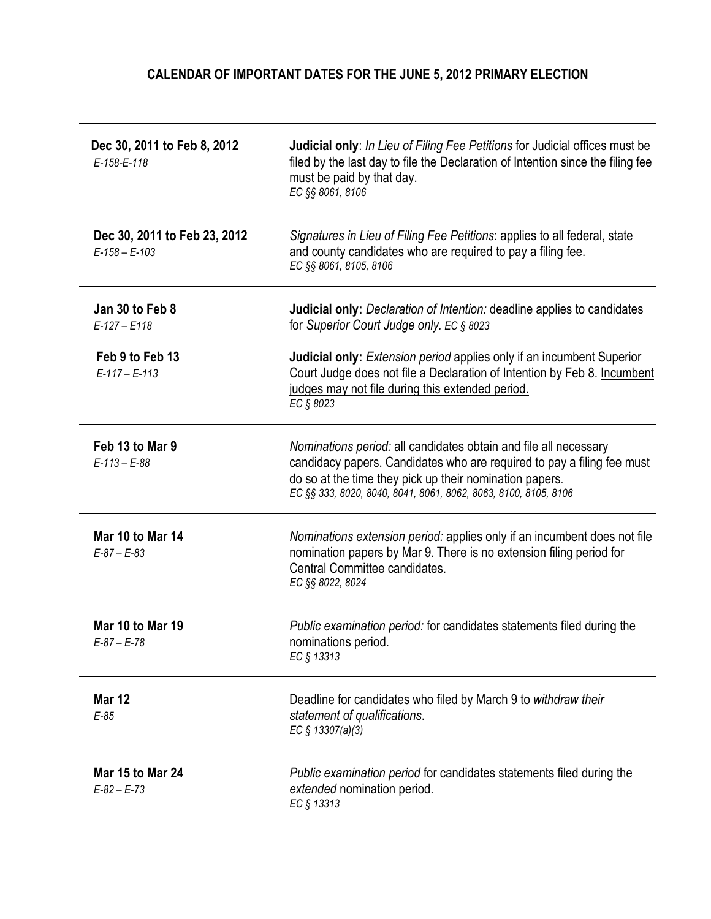## CALENDAR OF IMPORTANT DATES FOR THE JUNE 5, 2012 PRIMARY ELECTION

| Dec 30, 2011 to Feb 8, 2012<br>E-158-E-118          | Judicial only: In Lieu of Filing Fee Petitions for Judicial offices must be<br>filed by the last day to file the Declaration of Intention since the filing fee<br>must be paid by that day.<br>EC §§ 8061, 8106                                                          |
|-----------------------------------------------------|--------------------------------------------------------------------------------------------------------------------------------------------------------------------------------------------------------------------------------------------------------------------------|
| Dec 30, 2011 to Feb 23, 2012<br>$E - 158 - E - 103$ | Signatures in Lieu of Filing Fee Petitions: applies to all federal, state<br>and county candidates who are required to pay a filing fee.<br>EC §§ 8061, 8105, 8106                                                                                                       |
| Jan 30 to Feb 8<br>$E-127 - E118$                   | <b>Judicial only:</b> Declaration of Intention: deadline applies to candidates<br>for Superior Court Judge only. EC § 8023                                                                                                                                               |
| Feb 9 to Feb 13<br>$E-117 - E-113$                  | <b>Judicial only:</b> Extension period applies only if an incumbent Superior<br>Court Judge does not file a Declaration of Intention by Feb 8. Incumbent<br>judges may not file during this extended period.<br>EC § 8023                                                |
| Feb 13 to Mar 9<br>$E-113 - E-88$                   | Nominations period: all candidates obtain and file all necessary<br>candidacy papers. Candidates who are required to pay a filing fee must<br>do so at the time they pick up their nomination papers.<br>EC §§ 333, 8020, 8040, 8041, 8061, 8062, 8063, 8100, 8105, 8106 |
| Mar 10 to Mar 14<br>$E-87 - E-83$                   | Nominations extension period: applies only if an incumbent does not file<br>nomination papers by Mar 9. There is no extension filing period for<br>Central Committee candidates.<br>EC §§ 8022, 8024                                                                     |
| Mar 10 to Mar 19<br>$E-87 - E-78$                   | Public examination period: for candidates statements filed during the<br>nominations period.<br>EC § 13313                                                                                                                                                               |
| <b>Mar 12</b><br>$E-85$                             | Deadline for candidates who filed by March 9 to withdraw their<br>statement of qualifications.<br>EC § 13307(a)(3)                                                                                                                                                       |
| Mar 15 to Mar 24<br>$E-82 - E-73$                   | <i>Public examination period for candidates statements filed during the</i><br>extended nomination period.<br>EC § 13313                                                                                                                                                 |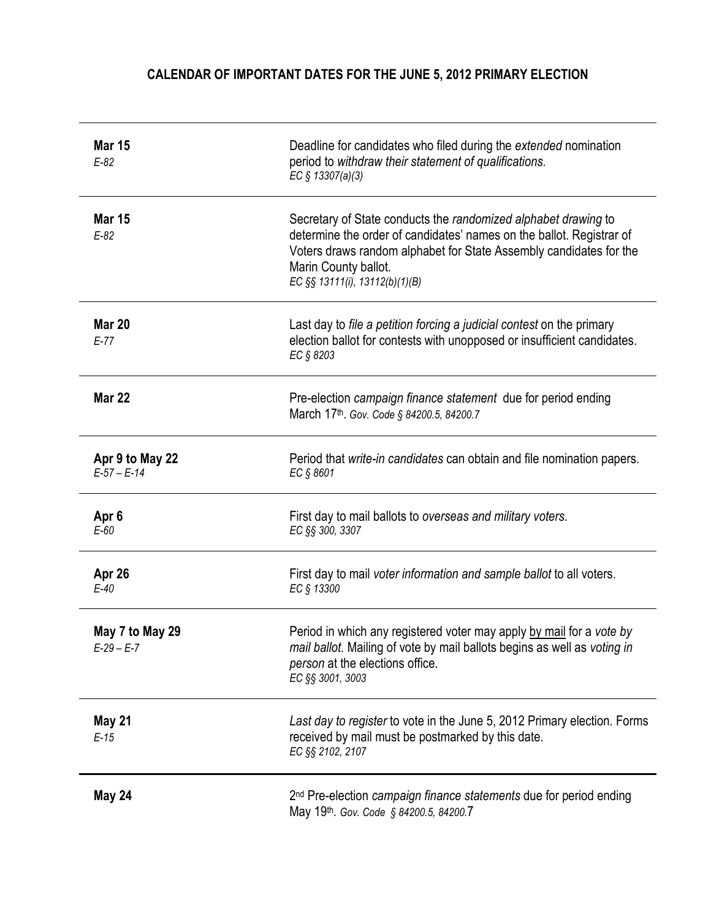## CALENDAR OF IMPORTANT DATES FOR THE JUNE 5, 2012 PRIMARY ELECTION

| <b>Mar 15</b><br>$E-82$          | Deadline for candidates who filed during the extended nomination<br>period to withdraw their statement of qualifications.<br>EC § 13307(a)(3)                                                                                                                          |
|----------------------------------|------------------------------------------------------------------------------------------------------------------------------------------------------------------------------------------------------------------------------------------------------------------------|
| <b>Mar 15</b><br>$E-82$          | Secretary of State conducts the randomized alphabet drawing to<br>determine the order of candidates' names on the ballot. Registrar of<br>Voters draws random alphabet for State Assembly candidates for the<br>Marin County ballot.<br>EC §§ 13111(i), 13112(b)(1)(B) |
| <b>Mar 20</b><br>$E-77$          | Last day to file a petition forcing a judicial contest on the primary<br>election ballot for contests with unopposed or insufficient candidates.<br>EC § 8203                                                                                                          |
| <b>Mar 22</b>                    | Pre-election campaign finance statement due for period ending<br>March 17th. Gov. Code § 84200.5, 84200.7                                                                                                                                                              |
| Apr 9 to May 22<br>$E-57 - E-14$ | Period that write-in candidates can obtain and file nomination papers.<br>EC § 8601                                                                                                                                                                                    |
| Apr <sub>6</sub><br>$E-60$       | First day to mail ballots to overseas and military voters.<br>EC §§ 300, 3307                                                                                                                                                                                          |
| Apr 26<br>$E-40$                 | First day to mail voter information and sample ballot to all voters.<br>EC § 13300                                                                                                                                                                                     |
| May 7 to May 29<br>$E-29 - E-7$  | Period in which any registered voter may apply by mail for a vote by<br>mail ballot. Mailing of vote by mail ballots begins as well as voting in<br>person at the elections office.<br>EC §§ 3001, 3003                                                                |
| May 21<br>$E-15$                 | Last day to register to vote in the June 5, 2012 Primary election. Forms<br>received by mail must be postmarked by this date.<br>EC §§ 2102, 2107                                                                                                                      |
| May 24                           | 2 <sup>nd</sup> Pre-election campaign finance statements due for period ending<br>May 19th. Gov. Code § 84200.5, 84200.7                                                                                                                                               |